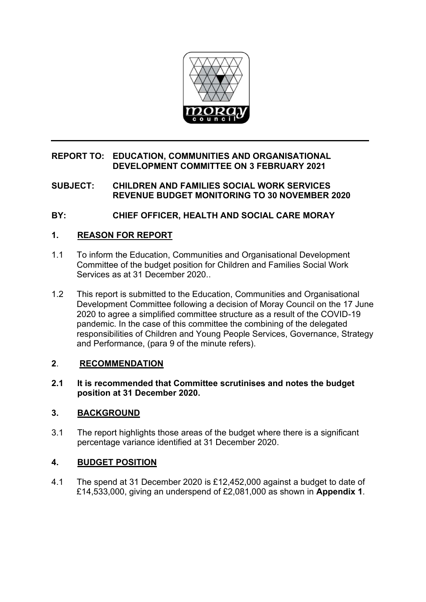

## **REPORT TO: EDUCATION, COMMUNITIES AND ORGANISATIONAL DEVELOPMENT COMMITTEE ON 3 FEBRUARY 2021**

## **SUBJECT: CHILDREN AND FAMILIES SOCIAL WORK SERVICES REVENUE BUDGET MONITORING TO 30 NOVEMBER 2020**

## **BY: CHIEF OFFICER, HEALTH AND SOCIAL CARE MORAY**

## **1. REASON FOR REPORT**

- 1.1 To inform the Education, Communities and Organisational Development Committee of the budget position for Children and Families Social Work Services as at 31 December 2020..
- 1.2 This report is submitted to the Education, Communities and Organisational Development Committee following a decision of Moray Council on the 17 June 2020 to agree a simplified committee structure as a result of the COVID-19 pandemic. In the case of this committee the combining of the delegated responsibilities of Children and Young People Services, Governance, Strategy and Performance, (para 9 of the minute refers).

## **2**. **RECOMMENDATION**

**2.1 It is recommended that Committee scrutinises and notes the budget position at 31 December 2020.** 

## **3. BACKGROUND**

3.1 The report highlights those areas of the budget where there is a significant percentage variance identified at 31 December 2020.

## **4. BUDGET POSITION**

4.1 The spend at 31 December 2020 is £12,452,000 against a budget to date of £14,533,000, giving an underspend of £2,081,000 as shown in **Appendix 1**.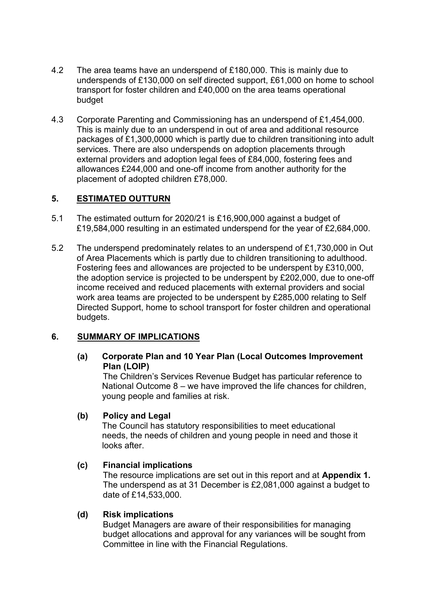- 4.2 The area teams have an underspend of £180,000. This is mainly due to underspends of £130,000 on self directed support, £61,000 on home to school transport for foster children and £40,000 on the area teams operational budget
- 4.3 Corporate Parenting and Commissioning has an underspend of £1,454,000. This is mainly due to an underspend in out of area and additional resource packages of £1,300,0000 which is partly due to children transitioning into adult services. There are also underspends on adoption placements through external providers and adoption legal fees of £84,000, fostering fees and allowances £244,000 and one-off income from another authority for the placement of adopted children £78,000.

## **5. ESTIMATED OUTTURN**

- 5.1 The estimated outturn for 2020/21 is £16,900,000 against a budget of £19,584,000 resulting in an estimated underspend for the year of £2,684,000.
- 5.2 The underspend predominately relates to an underspend of £1,730,000 in Out of Area Placements which is partly due to children transitioning to adulthood. Fostering fees and allowances are projected to be underspent by £310,000, the adoption service is projected to be underspent by £202,000, due to one-off income received and reduced placements with external providers and social work area teams are projected to be underspent by £285,000 relating to Self Directed Support, home to school transport for foster children and operational budgets.

# **6. SUMMARY OF IMPLICATIONS**

#### **(a) Corporate Plan and 10 Year Plan (Local Outcomes Improvement Plan (LOIP)**

The Children's Services Revenue Budget has particular reference to National Outcome 8 – we have improved the life chances for children, young people and families at risk.

## **(b) Policy and Legal**

The Council has statutory responsibilities to meet educational needs, the needs of children and young people in need and those it looks after.

#### **(c) Financial implications**

The resource implications are set out in this report and at **Appendix 1.** The underspend as at 31 December is £2,081,000 against a budget to date of £14,533,000.

## **(d) Risk implications**

Budget Managers are aware of their responsibilities for managing budget allocations and approval for any variances will be sought from Committee in line with the Financial Regulations.